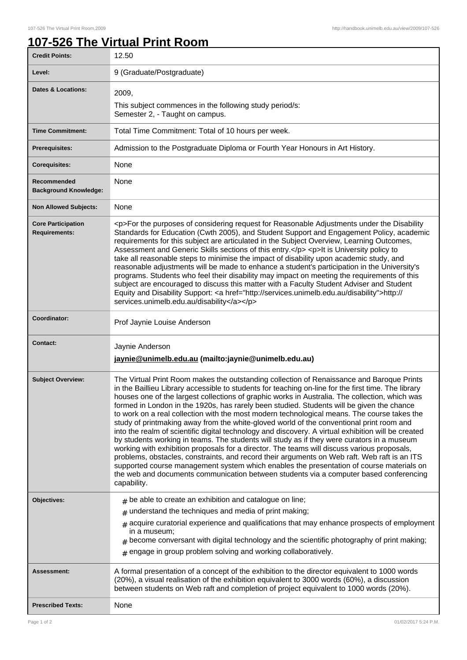## **107-526 The Virtual Print Room**

| <b>Credit Points:</b>                             | 12.50                                                                                                                                                                                                                                                                                                                                                                                                                                                                                                                                                                                                                                                                                                                                                                                                                                                                                                                                                                                                                                                                                                                                                                                               |
|---------------------------------------------------|-----------------------------------------------------------------------------------------------------------------------------------------------------------------------------------------------------------------------------------------------------------------------------------------------------------------------------------------------------------------------------------------------------------------------------------------------------------------------------------------------------------------------------------------------------------------------------------------------------------------------------------------------------------------------------------------------------------------------------------------------------------------------------------------------------------------------------------------------------------------------------------------------------------------------------------------------------------------------------------------------------------------------------------------------------------------------------------------------------------------------------------------------------------------------------------------------------|
| Level:                                            | 9 (Graduate/Postgraduate)                                                                                                                                                                                                                                                                                                                                                                                                                                                                                                                                                                                                                                                                                                                                                                                                                                                                                                                                                                                                                                                                                                                                                                           |
| <b>Dates &amp; Locations:</b>                     | 2009,<br>This subject commences in the following study period/s:<br>Semester 2, - Taught on campus.                                                                                                                                                                                                                                                                                                                                                                                                                                                                                                                                                                                                                                                                                                                                                                                                                                                                                                                                                                                                                                                                                                 |
| <b>Time Commitment:</b>                           | Total Time Commitment: Total of 10 hours per week.                                                                                                                                                                                                                                                                                                                                                                                                                                                                                                                                                                                                                                                                                                                                                                                                                                                                                                                                                                                                                                                                                                                                                  |
| <b>Prerequisites:</b>                             | Admission to the Postgraduate Diploma or Fourth Year Honours in Art History.                                                                                                                                                                                                                                                                                                                                                                                                                                                                                                                                                                                                                                                                                                                                                                                                                                                                                                                                                                                                                                                                                                                        |
| <b>Corequisites:</b>                              | None                                                                                                                                                                                                                                                                                                                                                                                                                                                                                                                                                                                                                                                                                                                                                                                                                                                                                                                                                                                                                                                                                                                                                                                                |
| Recommended<br><b>Background Knowledge:</b>       | None                                                                                                                                                                                                                                                                                                                                                                                                                                                                                                                                                                                                                                                                                                                                                                                                                                                                                                                                                                                                                                                                                                                                                                                                |
| <b>Non Allowed Subjects:</b>                      | None                                                                                                                                                                                                                                                                                                                                                                                                                                                                                                                                                                                                                                                                                                                                                                                                                                                                                                                                                                                                                                                                                                                                                                                                |
| <b>Core Participation</b><br><b>Requirements:</b> | <p>For the purposes of considering request for Reasonable Adjustments under the Disability<br/>Standards for Education (Cwth 2005), and Student Support and Engagement Policy, academic<br/>requirements for this subject are articulated in the Subject Overview, Learning Outcomes,<br/>Assessment and Generic Skills sections of this entry.</p> <p>It is University policy to<br/>take all reasonable steps to minimise the impact of disability upon academic study, and<br/>reasonable adjustments will be made to enhance a student's participation in the University's<br/>programs. Students who feel their disability may impact on meeting the requirements of this<br/>subject are encouraged to discuss this matter with a Faculty Student Adviser and Student<br/>Equity and Disability Support: &lt; a href="http://services.unimelb.edu.au/disability"&gt;http://<br/>services.unimelb.edu.au/disability</p>                                                                                                                                                                                                                                                                        |
| Coordinator:                                      | Prof Jaynie Louise Anderson                                                                                                                                                                                                                                                                                                                                                                                                                                                                                                                                                                                                                                                                                                                                                                                                                                                                                                                                                                                                                                                                                                                                                                         |
| <b>Contact:</b>                                   | Jaynie Anderson<br>jaynie@unimelb.edu.au (mailto: jaynie@unimelb.edu.au)                                                                                                                                                                                                                                                                                                                                                                                                                                                                                                                                                                                                                                                                                                                                                                                                                                                                                                                                                                                                                                                                                                                            |
| <b>Subject Overview:</b>                          | The Virtual Print Room makes the outstanding collection of Renaissance and Baroque Prints<br>in the Baillieu Library accessible to students for teaching on-line for the first time. The library<br>houses one of the largest collections of graphic works in Australia. The collection, which was<br>formed in London in the 1920s, has rarely been studied. Students will be given the chance<br>to work on a real collection with the most modern technological means. The course takes the<br>study of printmaking away from the white-gloved world of the conventional print room and<br>into the realm of scientific digital technology and discovery. A virtual exhibition will be created<br>by students working in teams. The students will study as if they were curators in a museum<br>working with exhibition proposals for a director. The teams will discuss various proposals,<br>problems, obstacles, constraints, and record their arguments on Web raft. Web raft is an ITS<br>supported course management system which enables the presentation of course materials on<br>the web and documents communication between students via a computer based conferencing<br>capability. |
| Objectives:                                       | $#$ be able to create an exhibition and catalogue on line;<br>$#$ understand the techniques and media of print making;<br>$#$ acquire curatorial experience and qualifications that may enhance prospects of employment<br>in a museum;<br>$#$ become conversant with digital technology and the scientific photography of print making;<br>$#$ engage in group problem solving and working collaboratively.                                                                                                                                                                                                                                                                                                                                                                                                                                                                                                                                                                                                                                                                                                                                                                                        |
| Assessment:                                       | A formal presentation of a concept of the exhibition to the director equivalent to 1000 words<br>(20%), a visual realisation of the exhibition equivalent to 3000 words (60%), a discussion<br>between students on Web raft and completion of project equivalent to 1000 words (20%).                                                                                                                                                                                                                                                                                                                                                                                                                                                                                                                                                                                                                                                                                                                                                                                                                                                                                                               |
| <b>Prescribed Texts:</b>                          | None                                                                                                                                                                                                                                                                                                                                                                                                                                                                                                                                                                                                                                                                                                                                                                                                                                                                                                                                                                                                                                                                                                                                                                                                |